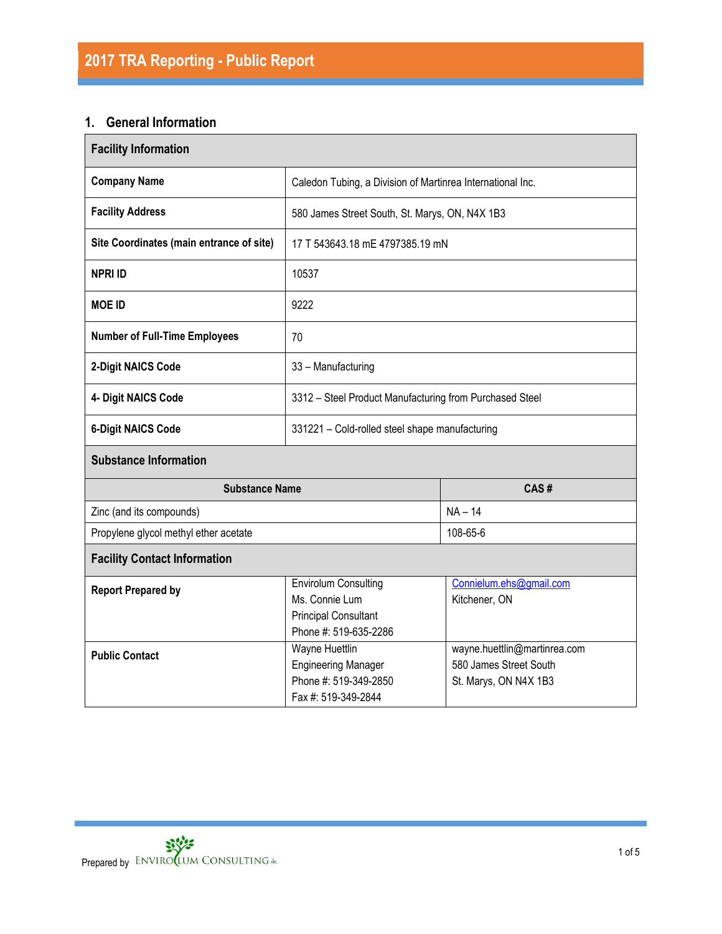# **1. General Information**

| <b>Facility Information</b>                                                                                                        |                                                            |                                                                                 |  |  |  |
|------------------------------------------------------------------------------------------------------------------------------------|------------------------------------------------------------|---------------------------------------------------------------------------------|--|--|--|
| <b>Company Name</b>                                                                                                                | Caledon Tubing, a Division of Martinrea International Inc. |                                                                                 |  |  |  |
| <b>Facility Address</b>                                                                                                            | 580 James Street South, St. Marys, ON, N4X 1B3             |                                                                                 |  |  |  |
| Site Coordinates (main entrance of site)                                                                                           | 17 T 543643.18 mE 4797385.19 mN                            |                                                                                 |  |  |  |
| <b>NPRI ID</b>                                                                                                                     | 10537                                                      |                                                                                 |  |  |  |
| <b>MOE ID</b>                                                                                                                      | 9222                                                       |                                                                                 |  |  |  |
| <b>Number of Full-Time Employees</b>                                                                                               | 70                                                         |                                                                                 |  |  |  |
| 2-Digit NAICS Code                                                                                                                 | 33 - Manufacturing                                         |                                                                                 |  |  |  |
| 4- Digit NAICS Code                                                                                                                | 3312 - Steel Product Manufacturing from Purchased Steel    |                                                                                 |  |  |  |
| <b>6-Digit NAICS Code</b>                                                                                                          | 331221 - Cold-rolled steel shape manufacturing             |                                                                                 |  |  |  |
| <b>Substance Information</b>                                                                                                       |                                                            |                                                                                 |  |  |  |
| <b>Substance Name</b>                                                                                                              |                                                            | CAS#                                                                            |  |  |  |
| Zinc (and its compounds)                                                                                                           |                                                            | $NA - 14$                                                                       |  |  |  |
| Propylene glycol methyl ether acetate                                                                                              |                                                            | 108-65-6                                                                        |  |  |  |
| <b>Facility Contact Information</b>                                                                                                |                                                            |                                                                                 |  |  |  |
| <b>Envirolum Consulting</b><br><b>Report Prepared by</b><br>Ms. Connie Lum<br><b>Principal Consultant</b><br>Phone #: 519-635-2286 |                                                            | Connielum.ehs@gmail.com<br>Kitchener, ON                                        |  |  |  |
| <b>Wayne Huettlin</b><br><b>Public Contact</b><br><b>Engineering Manager</b><br>Phone #: 519-349-2850<br>Fax #: 519-349-2844       |                                                            | wayne.huettlin@martinrea.com<br>580 James Street South<br>St. Marys, ON N4X 1B3 |  |  |  |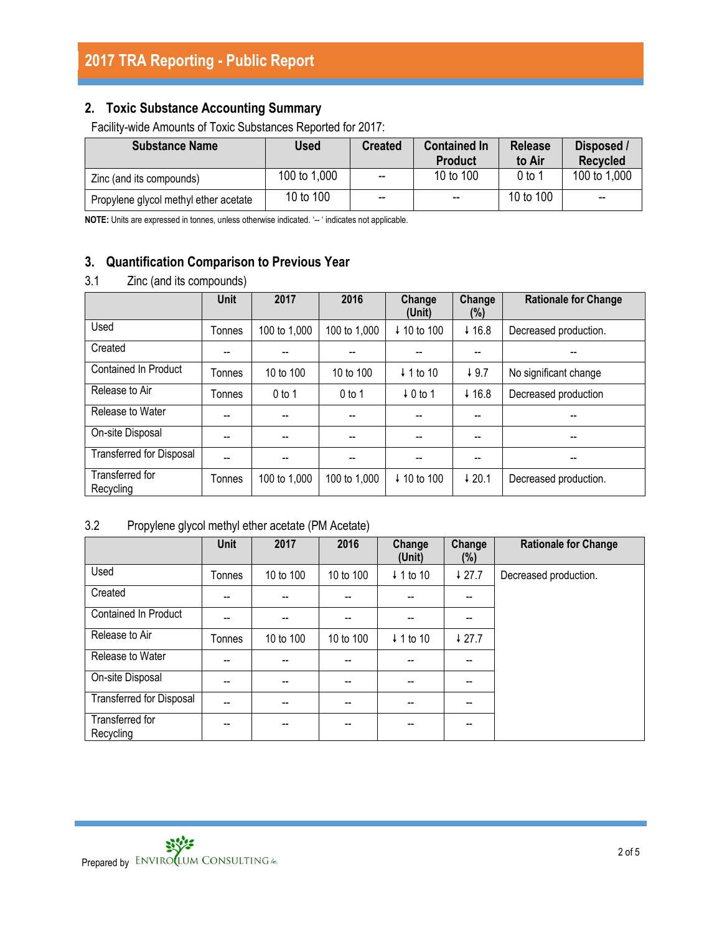# **2. Toxic Substance Accounting Summary**

Facility-wide Amounts of Toxic Substances Reported for 2017:

| <b>Substance Name</b>                 | <b>Used</b>  | <b>Created</b>           | <b>Contained In</b><br><b>Product</b> | <b>Release</b><br>to Air | Disposed /<br><b>Recycled</b> |
|---------------------------------------|--------------|--------------------------|---------------------------------------|--------------------------|-------------------------------|
| Zinc (and its compounds)              | 100 to 1,000 | $\overline{\phantom{a}}$ | 10 to 100                             | 0 to 1                   | 100 to 1,000                  |
| Propylene glycol methyl ether acetate | 10 to 100    | $- -$                    | $\overline{\phantom{a}}$              | 10 to 100                | $- -$                         |

**NOTE:** Units are expressed in tonnes, unless otherwise indicated. '-- ' indicates not applicable.

# **3. Quantification Comparison to Previous Year**

# 3.1 Zinc (and its compounds)

|                                 | <b>Unit</b> | 2017         | 2016         | Change<br>(Unit)       | Change<br>(%)     | <b>Rationale for Change</b> |
|---------------------------------|-------------|--------------|--------------|------------------------|-------------------|-----------------------------|
| Used                            | Tonnes      | 100 to 1,000 | 100 to 1,000 | ↓ 10 to 100            | $+16.8$           | Decreased production.       |
| Created                         | --          |              |              |                        | --                | --                          |
| <b>Contained In Product</b>     | Tonnes      | 10 to 100    | 10 to 100    | $\downarrow$ 1 to 10   | 49.7              | No significant change       |
| Release to Air                  | Tonnes      | $0$ to 1     | $0$ to 1     | $\downarrow$ 0 to 1    | $+16.8$           | Decreased production        |
| Release to Water                | --          |              |              |                        | $-$               | --                          |
| On-site Disposal                | --          |              |              | --                     | --                |                             |
| <b>Transferred for Disposal</b> | --          |              |              |                        | --                | --                          |
| Transferred for<br>Recycling    | Tonnes      | 100 to 1,000 | 100 to 1,000 | $\downarrow$ 10 to 100 | $\downarrow$ 20.1 | Decreased production.       |

# 3.2 Propylene glycol methyl ether acetate (PM Acetate)

|                                 | <b>Unit</b> | 2017      | 2016      | Change<br>(Unit)     | Change<br>(%) | <b>Rationale for Change</b> |
|---------------------------------|-------------|-----------|-----------|----------------------|---------------|-----------------------------|
| Used                            | Tonnes      | 10 to 100 | 10 to 100 | $\downarrow$ 1 to 10 | 427.7         | Decreased production.       |
| Created                         | --          | $- -$     | --        | --                   | --            |                             |
| Contained In Product            | --          |           | --        |                      | --            |                             |
| Release to Air                  | Tonnes      | 10 to 100 | 10 to 100 | $\downarrow$ 1 to 10 | 427.7         |                             |
| Release to Water                | --          | $-$       | --        |                      | --            |                             |
| On-site Disposal                | --          | $-$       | --        | $- -$                | --            |                             |
| <b>Transferred for Disposal</b> | --          |           | --        |                      | --            |                             |
| Transferred for<br>Recycling    | --          | $- -$     | --        | --                   | --            |                             |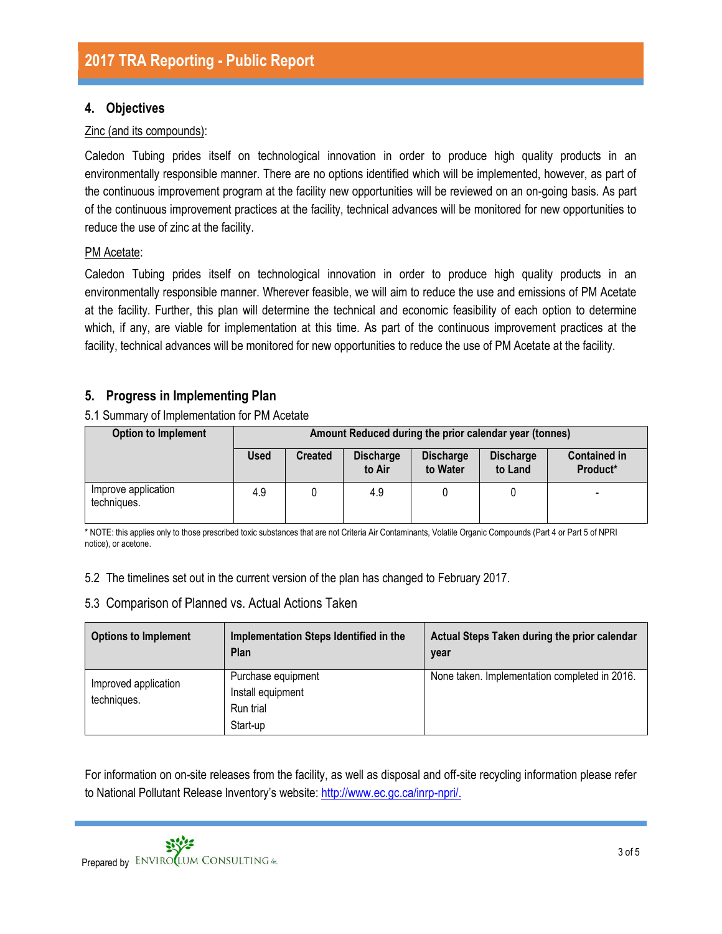# **4. Objectives**

#### Zinc (and its compounds):

Caledon Tubing prides itself on technological innovation in order to produce high quality products in an environmentally responsible manner. There are no options identified which will be implemented, however, as part of the continuous improvement program at the facility new opportunities will be reviewed on an on-going basis. As part of the continuous improvement practices at the facility, technical advances will be monitored for new opportunities to reduce the use of zinc at the facility.

#### PM Acetate:

Caledon Tubing prides itself on technological innovation in order to produce high quality products in an environmentally responsible manner. Wherever feasible, we will aim to reduce the use and emissions of PM Acetate at the facility. Further, this plan will determine the technical and economic feasibility of each option to determine which, if any, are viable for implementation at this time. As part of the continuous improvement practices at the facility, technical advances will be monitored for new opportunities to reduce the use of PM Acetate at the facility.

# **5. Progress in Implementing Plan**

5.1 Summary of Implementation for PM Acetate

| <b>Option to Implement</b>         | Amount Reduced during the prior calendar year (tonnes) |                |                            |                              |                             |                                 |
|------------------------------------|--------------------------------------------------------|----------------|----------------------------|------------------------------|-----------------------------|---------------------------------|
|                                    | <b>Used</b>                                            | <b>Created</b> | <b>Discharge</b><br>to Air | <b>Discharge</b><br>to Water | <b>Discharge</b><br>to Land | <b>Contained in</b><br>Product* |
| Improve application<br>techniques. | 4.9                                                    |                | 4.9                        |                              |                             | $\overline{\phantom{0}}$        |

\* NOTE: this applies only to those prescribed toxic substances that are not Criteria Air Contaminants, Volatile Organic Compounds (Part 4 or Part 5 of NPRI notice), or acetone.

5.2 The timelines set out in the current version of the plan has changed to February 2017.

## 5.3 Comparison of Planned vs. Actual Actions Taken

| <b>Options to Implement</b>         | Implementation Steps Identified in the<br>Plan                   | Actual Steps Taken during the prior calendar<br>year |
|-------------------------------------|------------------------------------------------------------------|------------------------------------------------------|
| Improved application<br>techniques. | Purchase equipment<br>Install equipment<br>Run trial<br>Start-up | None taken. Implementation completed in 2016.        |

For information on on-site releases from the facility, as well as disposal and off-site recycling information please refer to National Pollutant Release Inventory's website: [http://www.ec.gc.ca/inrp-npri/.](http://www.ec.gc.ca/inrp-npri/)